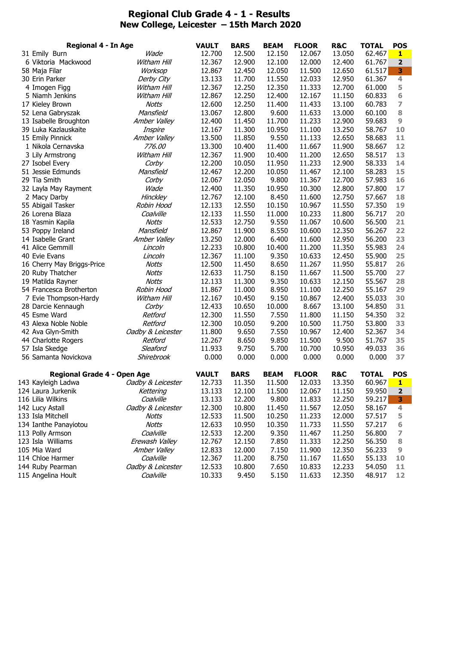## **Regional Club Grade 4 - 1 - Results New College, Leicester – 15th March 2020**

| <b>Regional 4 - In Age</b> |                                                | <b>VAULT</b>            | <b>BARS</b>      | <b>BEAM</b>      | <b>FLOOR</b>   | <b>R&amp;C</b>   | <b>TOTAL</b>     | <b>POS</b>       |                |
|----------------------------|------------------------------------------------|-------------------------|------------------|------------------|----------------|------------------|------------------|------------------|----------------|
| 31 Emily Burn              |                                                | Wade                    | 12.700           | 12.500           | 12.150         | 12.067           | 13.050           | 62.467           | 1              |
|                            | 6 Viktoria Mackwood                            | Witham Hill             | 12.367           | 12.900           | 12.100         | 12.000           | 12.400           | 61.767           | 2              |
| 58 Maja Filar              |                                                | Worksop                 | 12.867           | 12.450           | 12.050         | 11.500           | 12.650           | 61.517           | 3              |
| 30 Erin Parker             |                                                | Derby City              | 13.133           | 11.700           | 11.550         | 12.033           | 12.950           | 61.367           | 4              |
|                            | 4 Imogen Figg                                  | Witham Hill             | 12.367           | 12.250           | 12.350         | 11.333           | 12.700           | 61.000           | 5              |
|                            | 5 Niamh Jenkins                                | Witham Hill             | 12.867           | 12.250           | 12.400         | 12.167           | 11.150           | 60.833           | 6              |
|                            | 17 Kieley Brown                                | Notts                   | 12.600           | 12.250           | 11.400         | 11.433           | 13.100           | 60.783           | 7              |
|                            | 52 Lena Gabryszak                              | Mansfield               | 13.067           | 12.800           | 9.600          | 11.633           | 13.000           | 60.100           | 8              |
|                            | 13 Isabelle Broughton                          | Amber Valley            | 12.400           | 11.450           | 11.700         | 11.233           | 12.900           | 59.683           | 9              |
|                            | 39 Luka Kazlauskaite                           | Inspire                 | 12.167           | 11.300           | 10.950         | 11.100           | 13.250           | 58.767           | 10             |
|                            | 15 Emily Pinnick                               | Amber Valley            | 13.500           | 11.850           | 9.550          | 11.133           | 12.650           | 58.683           | 11             |
|                            | 1 Nikola Cernavska                             | 776.00                  | 13.300           | 10.400           | 11.400         | 11.667           | 11.900           | 58.667           | 12             |
|                            | 3 Lily Armstrong                               | Witham Hill             | 12.367           | 11.900           | 10.400         | 11.200           | 12.650           | 58.517           | 13             |
| 27 Isobel Every            |                                                | Corby                   | 12.200           | 10.050           | 11.950         | 11.233           | 12.900           | 58.333           | 14             |
|                            | 51 Jessie Edmunds                              | Mansfield               | 12.467           | 12.200           | 10.050         | 11.467           | 12.100           | 58.283           | 15             |
| 29 Tia Smith               |                                                | Corby                   | 12.067           | 12.050           | 9.800          | 11.367           | 12.700           | 57.983           | 16             |
|                            | 32 Layla May Rayment                           | Wade                    | 12.400           | 11.350           | 10.950         | 10.300           | 12.800           | 57.800           | 17             |
|                            | 2 Macy Darby                                   | <b>Hinckley</b>         | 12.767           | 12.100           | 8.450          | 11.600           | 12.750           | 57.667           | 18             |
|                            | 55 Abigail Tasker                              | Robin Hood              | 12.133           | 12.550           | 10.150         | 10.967           | 11.550           | 57.350           | 19             |
|                            | 26 Lorena Blaza                                | Coalville               | 12.133           | 11.550           | 11.000         | 10.233           | 11.800           | 56.717           | 20             |
|                            | 18 Yasmin Kapila                               | Notts                   | 12.533           | 12.750           | 9.550          | 11.067           | 10.600           | 56.500           | 21             |
|                            | 53 Poppy Ireland                               | Mansfield               | 12.867           | 11.900           | 8.550          | 10.600           | 12.350           | 56.267           | 22             |
|                            | 14 Isabelle Grant                              | Amber Valley            | 13.250           | 12.000           | 6.400          | 11.600           | 12.950           | 56.200           | 23             |
|                            | 41 Alice Gemmill                               | Lincoln                 | 12.233           | 10.800           | 10.400         | 11.200           | 11.350           | 55.983           | 24<br>25       |
| 40 Evie Evans              |                                                | Lincoln<br><b>Notts</b> | 12.367<br>12.500 | 11.100<br>11.450 | 9.350<br>8.650 | 10.633<br>11.267 | 12.450<br>11.950 | 55.900<br>55.817 | 26             |
|                            | 16 Cherry May Briggs-Price<br>20 Ruby Thatcher | <b>Notts</b>            | 12.633           | 11.750           | 8.150          | 11.667           | 11.500           | 55.700           | 27             |
|                            | 19 Matilda Rayner                              | <b>Notts</b>            | 12.133           | 11.300           | 9.350          | 10.633           | 12.150           | 55.567           | 28             |
|                            | 54 Francesca Brotherton                        | Robin Hood              | 11.867           | 11.000           | 8.950          | 11.100           | 12.250           | 55.167           | 29             |
|                            | 7 Evie Thompson-Hardy                          | Witham Hill             | 12.167           | 10.450           | 9.150          | 10.867           | 12.400           | 55.033           | 30             |
|                            | 28 Darcie Kennaugh                             | Corby                   | 12.433           | 10.650           | 10.000         | 8.667            | 13.100           | 54.850           | 31             |
| 45 Esme Ward               |                                                | Retford                 | 12.300           | 11.550           | 7.550          | 11.800           | 11.150           | 54.350           | 32             |
|                            | 43 Alexa Noble Noble                           | Retford                 | 12.300           | 10.050           | 9.200          | 10.500           | 11.750           | 53.800           | 33             |
|                            | 42 Ava Glyn-Smith                              | Oadby & Leicester       | 11.800           | 9.650            | 7.550          | 10.967           | 12.400           | 52.367           | 34             |
|                            | 44 Charlotte Rogers                            | Retford                 | 12.267           | 8.650            | 9.850          | 11.500           | 9.500            | 51.767           | 35             |
| 57 Isla Skedge             |                                                | Sleaford                | 11.933           | 9.750            | 5.700          | 10.700           | 10.950           | 49.033           | 36             |
|                            | 56 Samanta Novickova                           | Shirebrook              | 0.000            | 0.000            | 0.000          | 0.000            | 0.000            | 0.000            | 37             |
|                            | Regional Grade 4 - Open Age                    |                         | <b>VAULT</b>     | <b>BARS</b>      | <b>BEAM</b>    | <b>FLOOR</b>     | <b>R&amp;C</b>   | <b>TOTAL</b>     | <b>POS</b>     |
|                            | 143 Kayleigh Ladwa                             | Oadby & Leicester       | 12.733           | 11.350           | 11.500         | 12.033           | 13.350           | 60.967           | ц              |
|                            | 124 Laura Jurkenik                             | Kettering               | 13.133           | 12.100           | 11.500         | 12.067           | 11.150           | 59.950           | $\mathbf{2}$   |
| 116 Lilia Wilkins          |                                                | Coalville               | 13.133           | 12.200           | 9.800          | 11.833           | 12.250           | 59.217           | 3              |
| 142 Lucy Astall            |                                                | Oadby & Leicester       | 12.300           | 10.800           | 11.450         | 11.567           | 12.050           | 58.167           | $\overline{4}$ |
| 133 Isla Mitchell          |                                                | Notts                   | 12.533           | 11.500           | 10.250         | 11.233           | 12.000           | 57.517           | 5              |
|                            | 134 Ianthe Panayiotou                          | Notts                   | 12.633           | 10.950           | 10.350         | 11.733           | 11.550           | 57.217           | 6              |
| 113 Polly Armson           |                                                | Coalville               | 12.533           | 12.200           | 9.350          | 11.467           | 11.250           | 56.800           | 7              |
| 123 Isla Williams          |                                                | Erewash Valley          | 12.767           | 12.150           | 7.850          | 11.333           | 12.250           | 56.350           | 8              |
| 105 Mia Ward               |                                                | Amber Valley            | 12.833           | 12.000           | 7.150          | 11.900           | 12.350           | 56.233           | 9              |
|                            | 114 Chloe Harmer                               | Coalville               | 12.367           | 11.200           | 8.750          | 11.167           | 11.650           | 55.133           | 10             |
|                            | 144 Ruby Pearman                               | Oadby & Leicester       | 12.533           | 10.800           | 7.650          | 10.833           | 12.233           | 54.050           | 11             |
|                            | 115 Angelina Hoult                             | Coalville               | 10.333           | 9.450            | 5.150          | 11.633           | 12.350           | 48.917           | 12             |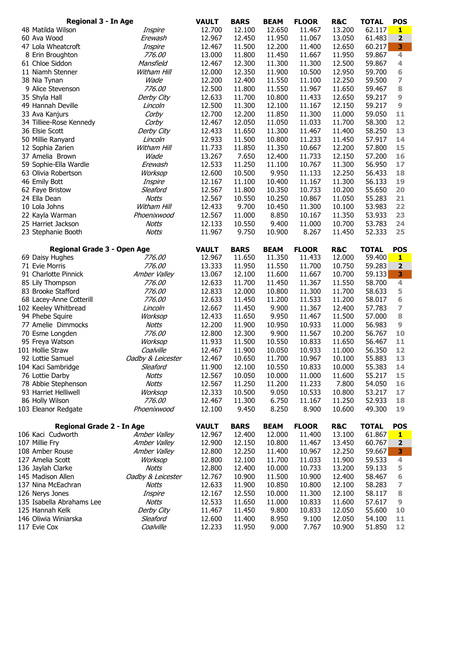| <b>Regional 3 - In Age</b>       |                   | <b>VAULT</b> | <b>BARS</b> | <b>BEAM</b> | <b>FLOOR</b> | <b>R&amp;C</b> | <b>TOTAL</b> | <b>POS</b>               |
|----------------------------------|-------------------|--------------|-------------|-------------|--------------|----------------|--------------|--------------------------|
| 48 Matilda Wilson                | Inspire           | 12.700       | 12.100      | 12.650      | 11.467       | 13.200         | 62.117       | $\mathbf{1}$             |
| 60 Ava Wood                      | Erewash           | 12.967       | 12.450      | 11.950      | 11.067       | 13.050         | 61.483       | $\mathbf{2}$             |
| 47 Lola Wheatcroft               | Inspire           | 12.467       | 11.500      | 12.200      | 11.400       | 12.650         | 60.217       | 3                        |
| 8 Erin Broughton                 | 776.00            | 13.000       | 11.800      | 11.450      | 11.667       | 11.950         | 59.867       | 4                        |
| 61 Chloe Siddon                  | Mansfield         | 12.467       | 12.300      | 11.300      | 11.300       | 12.500         | 59.867       | 4                        |
| 11 Niamh Stenner                 | Witham Hill       | 12.000       | 12.350      | 11.900      | 10.500       | 12.950         | 59.700       | 6                        |
| 38 Nia Tynan                     | Wade              | 12.200       | 12.400      | 11.550      | 11.100       | 12.250         | 59.500       | $\overline{\mathcal{I}}$ |
| 9 Alice Stevenson                | 776.00            | 12.500       | 11.800      | 11.550      | 11.967       | 11.650         | 59.467       | $\bf8$                   |
| 35 Shyla Hall                    | Derby City        | 12.633       | 11.700      | 10.800      | 11.433       | 12.650         | 59.217       | 9                        |
| 49 Hannah Deville                | Lincoln           | 12.500       | 11.300      | 12.100      | 11.167       | 12.150         | 59.217       | 9                        |
| 33 Ava Kanjurs                   | Corby             | 12.700       | 12.200      | 11.850      | 11.300       | 11.000         | 59.050       | 11                       |
| 34 Tilliee-Rose Kennedy          | Corby             | 12.467       | 12.050      | 11.050      | 11.033       | 11.700         | 58.300       | 12                       |
| 36 Elsie Scott                   | Derby City        | 12.433       | 11.650      | 11.300      | 11.467       | 11.400         | 58.250       | 13                       |
| 50 Millie Ranyard                | Lincoln           | 12.933       | 11.500      | 10.800      | 11.233       | 11.450         | 57.917       | 14                       |
| 12 Sophia Zarien                 | Witham Hill       | 11.733       | 11.850      | 11.350      | 10.667       | 12.200         | 57.800       | 15                       |
| 37 Amelia Brown                  | Wade              | 13.267       | 7.650       | 12.400      | 11.733       | 12.150         | 57.200       | 16                       |
| 59 Sophie-Ella Wardle            | Erewash           | 12.533       | 11.250      | 11.100      | 10.767       | 11.300         | 56.950       | 17                       |
| 63 Olivia Robertson              | Worksop           | 12.600       | 10.500      | 9.950       | 11.133       | 12.250         | 56.433       | 18                       |
| 46 Emily Bott                    | Inspire           | 12.167       | 11.100      | 10.400      | 11.167       | 11.300         | 56.133       | 19                       |
| 62 Faye Bristow                  | Sleaford          | 12.567       | 11.800      | 10.350      | 10.733       | 10.200         | 55.650       | 20                       |
| 24 Ella Dean                     | <b>Notts</b>      | 12.567       | 10.550      | 10.250      | 10.867       | 11.050         | 55.283       | 21                       |
| 10 Lola Johns                    | Witham Hill       | 12.433       | 9.700       | 10.450      | 11.300       | 10.100         | 53.983       | 22                       |
| 22 Kayla Warman                  | Phoenixwood       | 12.567       | 11.000      | 8.850       | 10.167       | 11.350         | 53.933       | 23                       |
| 25 Harriet Jackson               | Notts             | 12.133       | 10.550      | 9.400       | 11.000       | 10.700         | 53.783       | 24                       |
| 23 Stephanie Booth               | <b>Notts</b>      | 11.967       | 9.750       | 10.900      | 8.267        | 11.450         | 52.333       | 25                       |
|                                  |                   |              |             |             |              |                |              |                          |
| Regional Grade 3 - Open Age      |                   | <b>VAULT</b> | <b>BARS</b> | <b>BEAM</b> | <b>FLOOR</b> | <b>R&amp;C</b> | <b>TOTAL</b> | <b>POS</b>               |
| 69 Daisy Hughes                  | 776.00            | 12.967       | 11.650      | 11.350      | 11.433       | 12.000         | 59.400       | $\mathbf{1}$             |
| 71 Evie Morris                   | 776.00            | 13.333       | 11.950      | 11.550      | 11.700       | 10.750         | 59.283       | $\overline{\mathbf{2}}$  |
| 91 Charlotte Pinnick             | Amber Valley      | 13.067       | 12.100      | 11.600      | 11.667       | 10.700         | 59.133       | 3                        |
| 85 Lily Thompson                 | 776.00            | 12.633       | 11.700      | 11.450      | 11.367       | 11.550         | 58.700       | $\overline{4}$           |
| 83 Brooke Stafford               | 776.00            | 12.833       | 12.000      | 10.800      | 11.300       | 11.700         | 58.633       | 5                        |
| 68 Lacey-Anne Cotterill          | 776.00            | 12.633       | 11.450      | 11.200      | 11.533       | 11.200         | 58.017       | 6                        |
| 102 Keeley Whitbread             | Lincoln           | 12.667       | 11.450      | 9.900       | 11.367       | 12.400         | 57.783       | 7                        |
| 94 Phebe Squire                  | Worksop           | 12.433       | 11.650      | 9.950       | 11.467       | 11.500         | 57.000       | 8                        |
| 77 Amelie Dimmocks               | <b>Notts</b>      | 12.200       | 11.900      | 10.950      | 10.933       | 11.000         | 56.983       | 9                        |
| 70 Esme Longden                  | 776.00            | 12.800       | 12.300      | 9.900       | 11.567       | 10.200         | 56.767       | 10                       |
| 95 Freya Watson                  | Worksop           | 11.933       | 11.500      | 10.550      | 10.833       | 11.650         | 56.467       | 11                       |
| 101 Hollie Straw                 | Coalville         | 12.467       | 11.900      | 10.050      | 10.933       | 11.000         | 56.350       | 12                       |
| 92 Lottie Samuel                 | Oadby & Leicester | 12.467       | 10.650      | 11.700      | 10.967       | 10.100         | 55.883       | 13                       |
| 104 Kaci Sambridge               | Sleaford          | 11.900       | 12.100      | 10.550      | 10.833       | 10.000         | 55.383       | 14                       |
| 76 Lottie Darby                  | <b>Notts</b>      | 12.567       | 10.050      | 10.000      | 11.000       | 11.600         | 55.217       | 15                       |
| 78 Abbie Stephenson              | <b>Notts</b>      | 12.567       | 11.250      | 11.200      | 11.233       | 7.800          | 54.050       | 16                       |
| 93 Harriet Helliwell             | Worksop           | 12.333       | 10.500      | 9.050       | 10.533       | 10.800         | 53.217       | 17                       |
| 86 Holly Wilson                  | 776.00            | 12.467       | 11.300      | 6.750       | 11.167       | 11.250         | 52.933       | 18                       |
| 103 Eleanor Redgate              | Phoenixwood       | 12.100       | 9.450       | 8.250       | 8.900        | 10.600         | 49.300       | 19                       |
| <b>Regional Grade 2 - In Age</b> |                   | <b>VAULT</b> | <b>BARS</b> | <b>BEAM</b> | <b>FLOOR</b> | R&C            | <b>TOTAL</b> | <b>POS</b>               |
| 106 Kaci Cudworth                | Amber Valley      | 12.967       | 12.400      | 12.000      | 11.400       | 13.100         | 61.867       | $\mathbf{1}$             |
| 107 Millie Fry                   | Amber Valley      | 12.900       | 12.150      | 10.800      | 11.467       | 13.450         | 60.767       | $\overline{\mathbf{2}}$  |
| 108 Amber Rouse                  | Amber Valley      | 12.800       | 12.250      | 11.400      | 10.967       | 12.250         | 59.667       | 3                        |
| 127 Amelia Scott                 | Worksop           | 12.800       | 12.100      | 11.700      | 11.033       | 11.900         | 59.533       | 4                        |
| 136 Jaylah Clarke                | <b>Notts</b>      | 12.800       | 12.400      | 10.000      | 10.733       | 13.200         | 59.133       | 5                        |
| 145 Madison Allen                | Oadby & Leicester | 12.767       | 10.900      | 11.500      | 10.900       | 12.400         | 58.467       | 6                        |
| 137 Nina McEachran               | <b>Notts</b>      | 12.633       | 11.900      | 10.850      | 10.800       | 12.100         | 58.283       | 7                        |
| 126 Nerys Jones                  | Inspire           | 12.167       | 12.550      | 10.000      | 11.300       | 12.100         | 58.117       | $\bf8$                   |
| 135 Isabella Abrahams Lee        | <b>Notts</b>      | 12.533       | 11.650      | 11.000      | 10.833       | 11.600         | 57.617       | 9                        |
| 125 Hannah Kelk                  | Derby City        | 11.467       | 11.450      | 9.800       | 10.833       | 12.050         | 55.600       | 10                       |
| 146 Oliwia Winiarska             | Sleaford          | 12.600       | 11.400      | 8.950       | 9.100        | 12.050         | 54.100       | 11                       |
| 117 Evie Cox                     | Coalville         | 12.233       | 11.950      | 9.000       | 7.767        | 10.900         | 51.850       | 12                       |